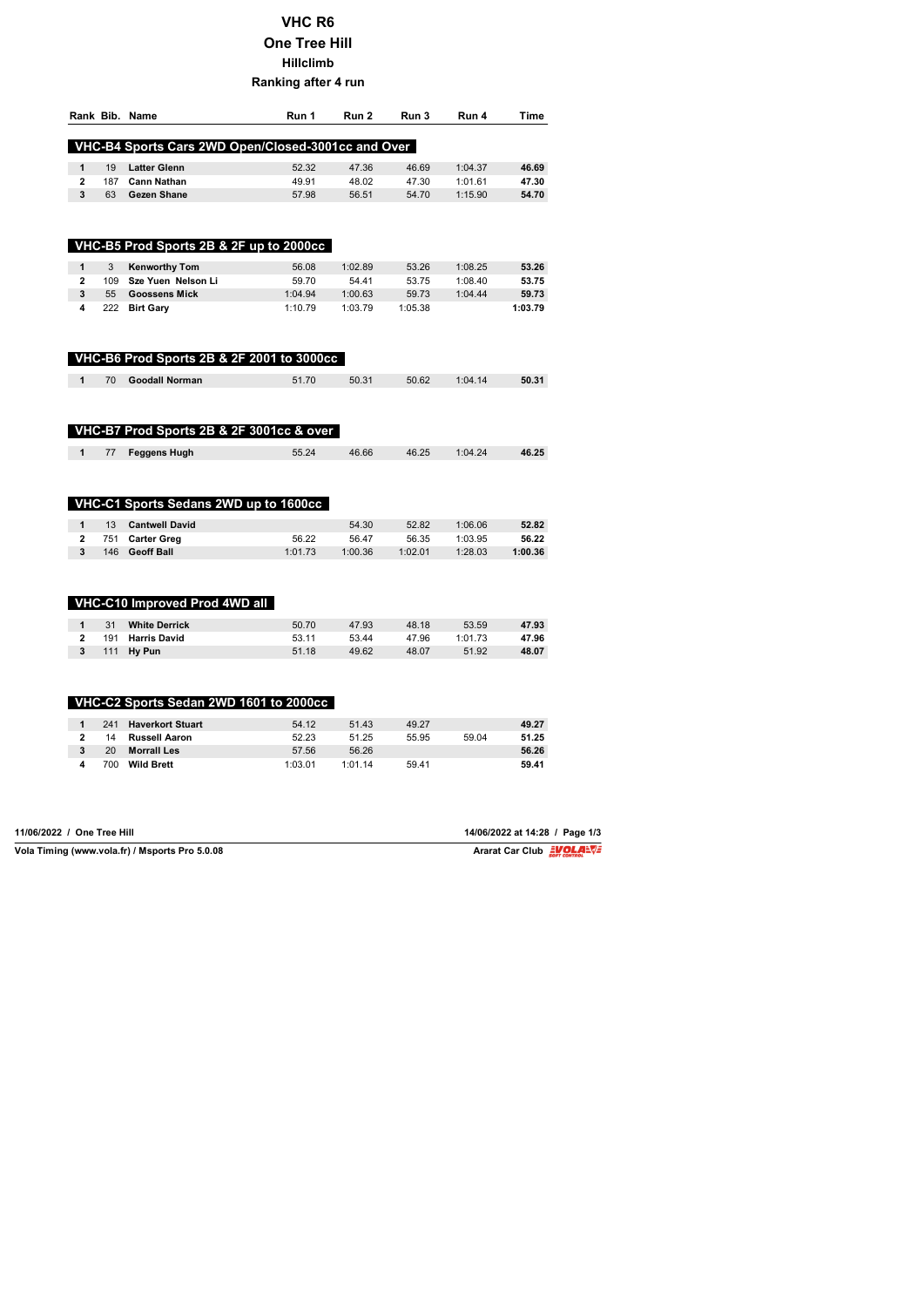## **VHC R6 One Tree Hill Hillclimb Ranking after 4 run**

|                         |     | Rank Bib. Name                                     | Run 1   | Run 2   | Run 3   | Run 4   | Time    |
|-------------------------|-----|----------------------------------------------------|---------|---------|---------|---------|---------|
|                         |     | VHC-B4 Sports Cars 2WD Open/Closed-3001cc and Over |         |         |         |         |         |
| $\mathbf{1}$            | 19  | <b>Latter Glenn</b>                                | 52.32   | 47.36   | 46.69   | 1:04.37 | 46.69   |
| $\overline{2}$          | 187 | <b>Cann Nathan</b>                                 | 49.91   | 48.02   | 47.30   | 1:01.61 | 47.30   |
| 3                       | 63  | Gezen Shane                                        | 57.98   | 56.51   | 54.70   | 1:15.90 | 54.70   |
|                         |     |                                                    |         |         |         |         |         |
|                         |     | VHC-B5 Prod Sports 2B & 2F up to 2000cc            |         |         |         |         |         |
| $\mathbf{1}$            | 3   | <b>Kenworthy Tom</b>                               | 56.08   | 1:02.89 | 53.26   | 1:08.25 | 53.26   |
| $\overline{2}$          | 109 | Sze Yuen Nelson Li                                 | 59.70   | 54.41   | 53.75   | 1:08.40 | 53.75   |
| 3                       | 55  | <b>Goossens Mick</b>                               | 1:04.94 | 1:00.63 | 59.73   | 1:04.44 | 59.73   |
| 4                       | 222 | <b>Birt Gary</b>                                   | 1:10.79 | 1:03.79 | 1:05.38 |         | 1:03.79 |
|                         |     | VHC-B6 Prod Sports 2B & 2F 2001 to 3000cc          |         |         |         |         |         |
| 1                       | 70  | <b>Goodall Norman</b>                              | 51.70   | 50.31   | 50.62   | 1:04.14 | 50.31   |
|                         |     | VHC-B7 Prod Sports 2B & 2F 3001cc & over           |         |         |         |         |         |
| 1                       | 77  | <b>Feggens Hugh</b>                                | 55.24   | 46.66   | 46.25   | 1:04.24 | 46.25   |
|                         |     | VHC-C1 Sports Sedans 2WD up to 1600cc              |         |         |         |         |         |
| $\mathbf{1}$            | 13  | <b>Cantwell David</b>                              |         | 54.30   | 52.82   | 1:06.06 | 52.82   |
| $\overline{\mathbf{c}}$ | 751 | <b>Carter Greg</b>                                 | 56.22   | 56.47   | 56.35   | 1:03.95 | 56.22   |
| 3                       | 146 | <b>Geoff Ball</b>                                  | 1:01.73 | 1:00.36 | 1:02.01 | 1:28.03 | 1:00.36 |
|                         |     | VHC-C10 Improved Prod 4WD all                      |         |         |         |         |         |
| $\mathbf{1}$            | 31  | <b>White Derrick</b>                               | 50.70   | 47.93   | 48.18   | 53.59   | 47.93   |
| $\overline{\mathbf{c}}$ | 191 | <b>Harris David</b>                                | 53.11   | 53.44   | 47.96   | 1:01.73 | 47.96   |
| 3                       | 111 | Hy Pun                                             | 51.18   | 49.62   | 48.07   | 51.92   | 48.07   |
|                         |     | VHC-C2 Sports Sedan 2WD 1601 to 2000cc             |         |         |         |         |         |
| $\mathbf{1}$            | 241 | <b>Haverkort Stuart</b>                            | 54.12   | 51.43   | 49.27   |         | 49.27   |
|                         |     |                                                    | 52.23   | 51.25   | 55.95   | 59.04   | 51.25   |
| $\overline{2}$          | 14  | <b>Russell Aaron</b>                               |         |         |         |         |         |
| 3                       | 20  | <b>Morrall Les</b>                                 | 57.56   | 56.26   |         |         | 56.26   |

| 11/06/2022 / One Tree Hill                     | 14/06/2022 at 14:28 / Page 1/3 |
|------------------------------------------------|--------------------------------|
| Vola Timing (www.vola.fr) / Msports Pro 5.0.08 | Ararat Car Club EVOLAEVE       |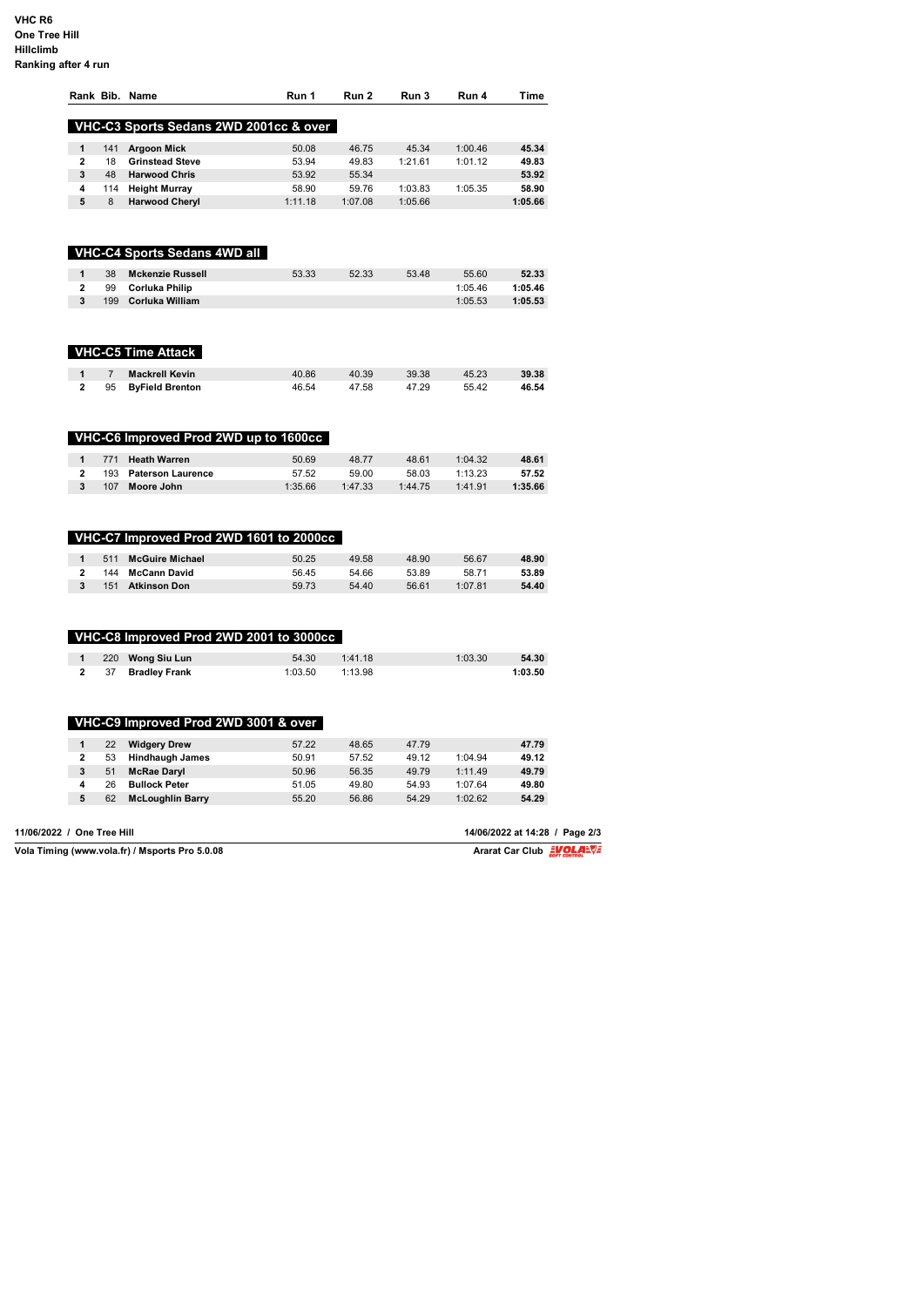## **VHC R6 One Tree Hill Hillclimb Ranking after 4 run**

|                            |                | Rank Bib. Name                                 | Run 1   | Run 2   | Run 3   | Run 4   | Time                                                       |
|----------------------------|----------------|------------------------------------------------|---------|---------|---------|---------|------------------------------------------------------------|
|                            |                | VHC-C3 Sports Sedans 2WD 2001cc & over         |         |         |         |         |                                                            |
| $\mathbf{1}$               | 141            | <b>Argoon Mick</b>                             | 50.08   | 46.75   | 45.34   | 1:00.46 | 45.34                                                      |
| $\overline{\mathbf{2}}$    | 18             | <b>Grinstead Steve</b>                         | 53.94   | 49.83   | 1:21.61 | 1:01.12 | 49.83                                                      |
| 3                          | 48             | <b>Harwood Chris</b>                           | 53.92   | 55.34   |         |         | 53.92                                                      |
| 4                          | 114            | <b>Height Murray</b>                           | 58.90   | 59.76   | 1:03.83 | 1:05.35 | 58.90                                                      |
| 5                          | 8              | <b>Harwood Cheryl</b>                          | 1:11.18 | 1:07.08 | 1:05.66 |         | 1:05.66                                                    |
|                            |                |                                                |         |         |         |         |                                                            |
|                            |                | VHC-C4 Sports Sedans 4WD all                   |         |         |         |         |                                                            |
| 1                          | 38             | <b>Mckenzie Russell</b>                        | 53.33   | 52.33   | 53.48   | 55.60   | 52.33                                                      |
| $\mathbf 2$                | 99             | <b>Corluka Philip</b>                          |         |         |         | 1:05.46 | 1:05.46                                                    |
| $\mathbf 3$                | 199            | Corluka William                                |         |         |         | 1:05.53 | 1:05.53                                                    |
|                            |                | <b>VHC-C5 Time Attack</b>                      |         |         |         |         |                                                            |
| 1                          | $\overline{7}$ | <b>Mackrell Kevin</b>                          | 40.86   | 40.39   | 39.38   | 45.23   | 39.38                                                      |
| $\overline{2}$             | 95             | <b>ByField Brenton</b>                         | 46.54   | 47.58   | 47.29   | 55.42   | 46.54                                                      |
|                            |                | VHC-C6 Improved Prod 2WD up to 1600cc          |         |         |         |         |                                                            |
| 1                          | 771            | <b>Heath Warren</b>                            | 50.69   | 48.77   | 48.61   | 1:04.32 | 48.61                                                      |
| $\overline{\mathbf{2}}$    | 193            | <b>Paterson Laurence</b>                       | 57.52   | 59.00   | 58.03   | 1:13.23 | 57.52                                                      |
| 3                          | 107            | Moore John                                     | 1:35.66 | 1:47.33 | 1:44.75 | 1:41.91 | 1:35.66                                                    |
|                            |                | VHC-C7 Improved Prod 2WD 1601 to 2000cc        |         |         |         |         |                                                            |
| $\mathbf{1}$               | 511            | <b>McGuire Michael</b>                         | 50.25   | 49.58   | 48.90   | 56.67   | 48.90                                                      |
| $\overline{2}$             | 144            | <b>McCann David</b>                            | 56.45   | 54.66   | 53.89   | 58.71   | 53.89                                                      |
| 3                          | 151            | <b>Atkinson Don</b>                            | 59.73   | 54.40   | 56.61   | 1:07.81 | 54.40                                                      |
|                            |                | VHC-C8 Improved Prod 2WD 2001 to 3000cc        |         |         |         |         |                                                            |
| $\mathbf{1}$               | 220            | Wong Siu Lun                                   | 54.30   | 1:41.18 |         | 1:03.30 | 54.30                                                      |
| $\mathbf{2}$               | 37             | <b>Bradley Frank</b>                           | 1:03.50 | 1:13.98 |         |         | 1:03.50                                                    |
|                            |                | VHC-C9 Improved Prod 2WD 3001                  | & over  |         |         |         |                                                            |
| $\mathbf{1}$               | 22             | <b>Widgery Drew</b>                            | 57.22   | 48.65   | 47.79   |         | 47.79                                                      |
| $\overline{\mathbf{2}}$    | 53             | <b>Hindhaugh James</b>                         | 50.91   | 57.52   | 49.12   | 1:04.94 | 49.12                                                      |
| 3                          | 51             | <b>McRae Daryl</b>                             | 50.96   | 56.35   | 49.79   | 1:11.49 | 49.79                                                      |
| 4                          | 26             | <b>Bullock Peter</b>                           | 51.05   | 49.80   | 54.93   | 1:07.64 | 49.80                                                      |
| 5                          | 62             | <b>McLoughlin Barry</b>                        | 55.20   | 56.86   | 54.29   | 1:02.62 | 54.29                                                      |
|                            |                |                                                |         |         |         |         |                                                            |
| 11/06/2022 / One Tree Hill |                | Vola Timing (www.vola.fr) / Msports Pro 5.0.08 |         |         |         |         | 14/06/2022 at 14:28 / Page 2/3<br>Ararat Car Club EVOLALVE |